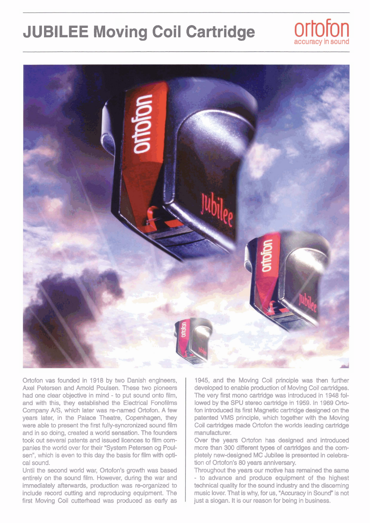## **JUBILEE Moving Coil Cartridge**





Ortofon vas founded in 1918 by two Danish engineers, Axel Petersen and Arnold Poulsen. These two pioneers had one clear objective in mind - to put sound onto film, and with this, they estabiished the Electrical Fonofilms Company NS, which later was re-named Ortofon. A few years later, in the Palace Theatre, Copenhagen, they were able to present the first fully-syncronized sound film and in so doing, created a world sensation. The founders took out several patents and issued licences to film companies the world over for their "System Petersen og Poulsen", which is even to this day the basis for film with optical sound.

Until the second worid war, Ortofon's growth was based entirely on the sound film. However, during the war and immediately afterwards, production was re-organized to include record cutthg and reproducing equipment. The first Moving Coil cutterhead was produced as eariy as

1945, and the Moving Coil principle **was** then further developed to enable production of Moving Coil cartridges. The very first mono cartridge was introduced in 1948 followed by the SPU stereo cartridge in 1959. In 1969 Ortofon introduced its first Magnetic cartridge designed on the patented VMS principle, which together with the Moving Coil cartridges **made** Ortofon the worids leading cartridge manufadurer.

Over **the** years Ortofon has designed and introduced more than 300 different types of cartridges and the completely new-deeigned MC Jubilee is presented in celebration of Ortofon's 80 years anniversary.

Throughout the years our motive has remained the same - to advance and produce equipment of the highest technical quality for the sound industry and the discerning music lover. That is why, for **us,** "Accuracy in Sound" **is** not just a slogan. It is our reason for being in business.